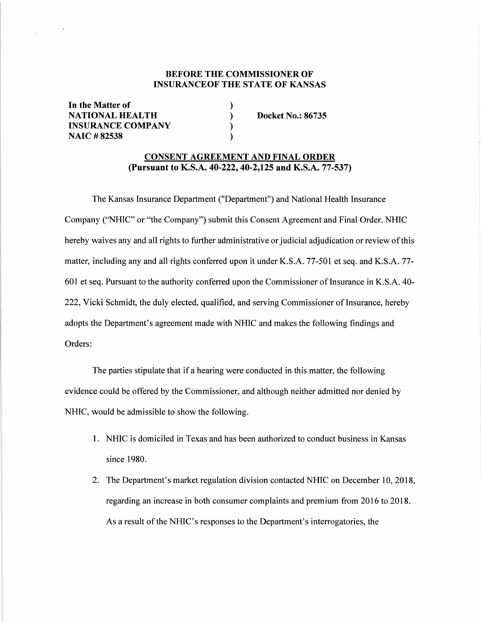# **BEFORE THE COMMISSIONER OF INSURANCEOF THE STATE OF KANSAS**

) ) ) )

**In the Matter of NATIONAL HEALTH INSURANCE COMPANY NAIC #82538** 

**Docket No.: 86735** 

## **CONSENT AGREEMENT AND FINAL ORDER (Pursuant to K.S.A. 40-222, 40-2,125 and K.S.A. 77-537)**

The Kansas Insurance Department ("Department") and National Health Insurance Company ("NHIC" or "the Company") submit this Consent Agreement and Final Order. NHIC hereby waives any and all rights to further administrative or judicial adjudication or review of this matter, including any and all rights conferred upon it under K.S.A. 77-501 et seq. and K.S.A. 77- 601 et seq. Pursuant to the authority conferred upon the Commissioner of Insurance in K.S.A. 40-222, Vicki Schmidt, the duly elected, qualified, and serving Commissioner of Insurance, hereby adopts the Department's agreement made with NHIC and makes the following findings and Orders:

The parties stipulate that if a hearing were conducted in this matter, the following evidence could be offered by the Commissioner, and although neither admitted nor denied by NHIC, would be admissible to show the following.

- I. NHIC is domiciled in Texas and has been authorized to conduct business in Kansas since 1980.
- 2. The Department's market regulation division contacted NHIC on December 10, 2018, regarding an increase in both consumer complaints and premium from 2016 to 2018. As a result of the NHIC's responses to the Department's interrogatories, the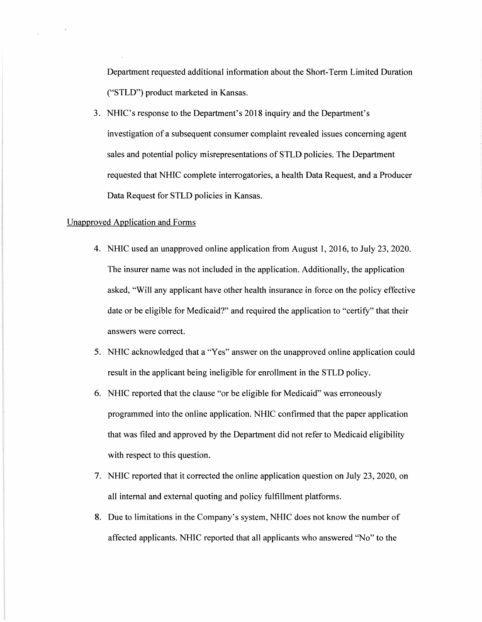Department requested additional information about the Short-Term Limited Duration ("STLD") product marketed in Kansas.

3. NHIC's response to the Department's 2018 inquiry and the Department's investigation of a subsequent consumer complaint revealed issues concerning agent sales and potential policy misrepresentations of STLD policies. The Department requested that NHIC complete interrogatories, a health Data Request, and a Producer Data Request for STLD policies in Kansas.

## Unapproved Application and Forms

- 4. NHIC used an unapproved online application from August 1, 2016, to July 23, 2020. The insurer name was not included in the application. Additionally, the application asked, "Will any applicant have other health insurance in force on the policy effective date or be eligible for Medicaid?" and required the application to "certify" that their answers were correct.
- 5. NHIC acknowledged that a "Yes" answer on the unapproved online application could result in the applicant being ineligible for enrollment in the STLD policy.
- 6. NHIC reported that the clause "or be eligible for Medicaid" was erroneously programmed into the online application. NHIC confirmed that the paper application that was filed and approved by the Department did not refer to Medicaid eligibility with respect to this question.
- 7. NHIC reported that it corrected the online application question on July 23, 2020, on all internal and external quoting and policy fulfillment platforms.
- 8. Due to limitations in the Company's system, NHIC does not know the number of affected applicants. NHIC reported that all applicants who answered "No" to the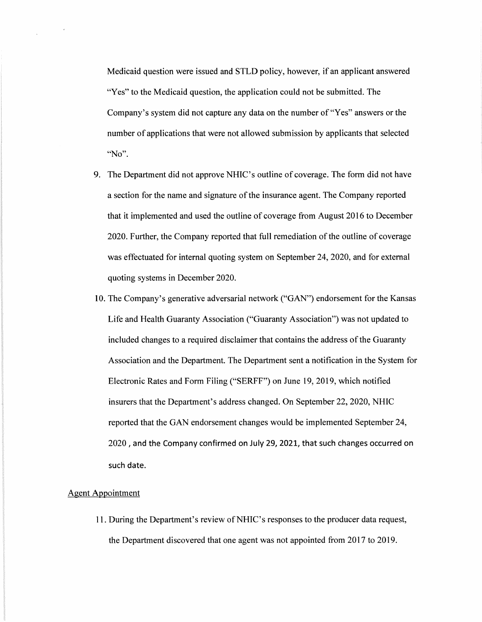Medicaid question were issued and STLD policy, however, if an applicant answered "Yes" to the Medicaid question, the application could not be submitted. The Company's system did not capture any data on the number of "Yes" answers or the number of applications that were not allowed submission by applicants that selected **"No".** 

- 9. The Department did not approve NHIC's outline of coverage. The form did not have a section for the name and signature of the insurance agent. The Company reported that it implemented and used the outline of coverage from August 2016 to December 2020. Further, the Company reported that full remediation of the outline of coverage was effectuated for internal quoting system on September 24, 2020, and for external quoting systems in December 2020.
- 10. The Company's generative adversarial network ("GAN") endorsement for the Kansas Life and Health Guaranty Association ("Guaranty Association") was not updated to included changes to a required disclaimer that contains the address of the Guaranty Association and the Department. The Department sent a notification in the System for Electronic Rates and Form Filing ("SERFF") on June 19, 2019, which notified insurers that the Department's address changed. On September 22, 2020, NHIC reported that the GAN endorsement changes would be implemented September 24, 2020, and the Company confirmed on July 29, 2021, that such changes occurred on such date.

#### Agent Appointment

 $\mathcal{L}$ 

11. During the Department's review ofNHIC's responses to the producer data request, the Department discovered that one agent was not appointed from 2017 to 2019.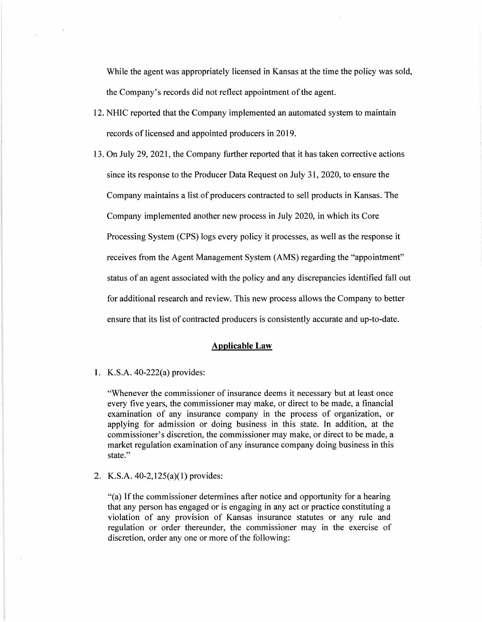While the agent was appropriately licensed in Kansas at the time the policy was sold, the Company's records did not reflect appointment of the agent.

- 12. NHIC reported that the Company implemented an automated system to maintain records of licensed and appointed producers in 2019.
- 13. On July 29, 2021, the Company further reported that it has taken corrective actions since its response to the Producer Data Request on July 31, 2020, to ensure the Company maintains a list of producers contracted to sell products in Kansas. The Company implemented another new process in July 2020, in which its Core Processing System (CPS) logs every policy it processes, as well as the response it receives from the Agent Management System (AMS) regarding the "appointment" status of an agent associated with the policy and any discrepancies identified fall out for additional research and review. This new process allows the Company to better ensure that its list of contracted producers is consistently accurate and up-to-date.

#### **Applicable Law**

I. K.S.A. 40-222(a) provides:

"Whenever the commissioner of insurance deems it necessary but at least once every five years, the commissioner may make, or direct to be made, a financial examination of any insurance company in the process of organization, or applying for admission or doing business in this state. In addition, at the commissioner's discretion, the commissioner may make, or direct to be made, a market regulation examination of any insurance company doing business in this state."

2. K.S.A. 40-2,125(a)(l) provides:

"(a) If the commissioner determines after notice and opportunity for a hearing that any person has engaged or is engaging in any act or practice constituting a violation of any provision of Kansas insurance statutes or any rule and regulation or order thereunder, the commissioner may in the exercise of discretion, order any one or more of the following: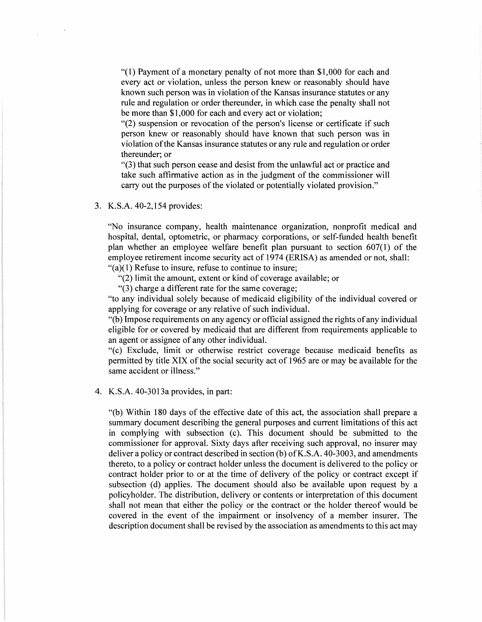"(1) Payment of a monetary penalty of not more than \$1,000 for each and every act or violation, unless the person knew or reasonably should have known such person was in violation of the Kansas insurance statutes or any rule and regulation or order thereunder, in which case the penalty shall not be more than \$1,000 for each and every act or violation;

"(2) suspension or revocation of the person's license or certificate if such person knew or reasonably should have known that such person was in violation of the Kansas insurance statutes or any rule and regulation or order thereunder; or

"(3) that such person cease and desist from the unlawful act or practice and take such affirmative action as in the judgment of the commissioner will carry out the purposes of the violated or potentially violated provision."

3. K.S.A. 40-2,154 provides:

 $\mathbf{v}$ 

"No insurance company, health maintenance organization, nonprofit medical and hospital, dental, optometric, or pharmacy corporations, or self-funded health benefit plan whether an employee welfare benefit plan pursuant to section 607(1) of the employee retirement income security act of 1974 (ERISA) as amended or not, shall:  $\degree$ (a)(1) Refuse to insure, refuse to continue to insure;

"(2) limit the amount, extent or kind of coverage available; or

"(3) charge a different rate for the same coverage;

"to any individual solely because of medicaid eligibility of the individual covered or applying for coverage or any relative of such individual.

"(b) Impose requirements on any agency or official assigned the rights of any individual eligible for or covered by medicaid that are different from requirements applicable to an agent or assignee of any other individual.

"(c) Exclude, limit or otherwise restrict coverage because medicaid benefits as permitted by title XIX of the social security act of 1965 are or may be available for the same accident or illness."

4. K.S.A. 40-3013a provides, in part:

"(b) Within 180 days of the effective date of this act, the association shall prepare a summary document describing the general purposes and current limitations of this act in complying with subsection (c). This document should be submitted to the commissioner for approval. Sixty days after receiving such approval, no insurer may deliver a policy or contract described in section (b) of K.S.A. 40-3003, and amendments thereto, to a policy or contract holder unless the document is delivered to the policy or contract holder prior to or at the time of delivery of the policy or contract except if subsection (d) applies. The document should also be available upon request by a policyholder. The distribution, delivery or contents or interpretation of this document shall not mean that either the policy or the contract or the holder thereof would be covered in the event of the impairment or insolvency of a member insurer. The description document shall be revised by the association as amendments to this act may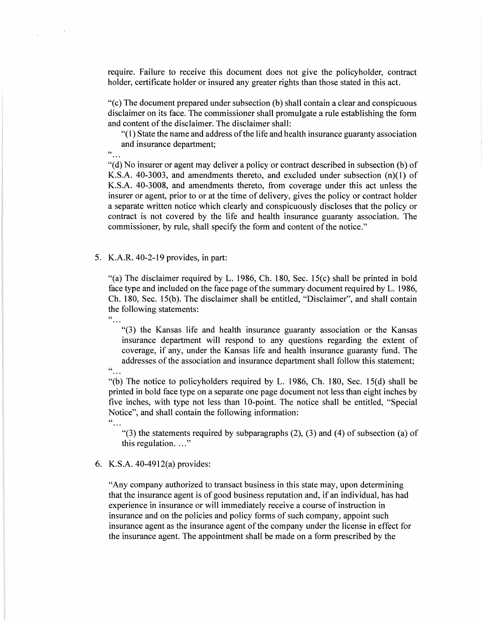require. Failure to receive this document does not give the policyholder, contract holder, certificate holder or insured any greater rights than those stated in this act.

"( c) The document prepared under subsection (b) shall contain a clear and conspicuous disclaimer on its face. The commissioner shall promulgate a rule establishing the form and content of the disclaimer. The disclaimer shall:

"(l) State the name and address of the life and health insurance guaranty association and insurance department;

 $\frac{a}{\cdot}$ .

 $\alpha$ 

 $\mathbf{r}$ 

"(d) No insurer or agent may deliver a policy or contract described in subsection (b) of **K.S.A.** 40-3003, and amendments thereto, and excluded under subsection (n)(l) of K.S.A. 40-3008, and amendments thereto, from coverage under this act unless the insurer or agent, prior to or at the time of delivery, gives the policy or contract holder a separate written notice which clearly and conspicuously discloses that the policy or contract is not covered by the life and health insurance guaranty association. The commissioner, by rule, shall specify the form and content of the notice."

5. K.A.R. 40-2-19 provides, in part:

"(a) The disclaimer required by L. 1986, Ch. 180, Sec. 15(c) shall be printed in bold face type and included on the face page of the summary document required by L. 1986, Ch. 180, Sec. 15(b). The disclaimer shall be entitled, "Disclaimer", and shall contain the following statements:  $\ddot{\cdot}$  . . .

"(3) the Kansas life and health insurance guaranty association or the Kansas insurance department will respond to any questions regarding the extent of coverage, if any, under the Kansas life and health insurance guaranty fund. The addresses of the association and insurance department shall follow this statement;

"... "(b) The notice to policyholders required by L. 1986, Ch. 180, Sec. 15(d) shall be printed in bold face type on a separate one page document not less than eight inches by five inches, with type not less than 10-point. The notice shall be entitled, "Special Notice", and shall contain the following information:  $^{\circ}$ 

"(3) the statements required by subparagraphs  $(2)$ ,  $(3)$  and  $(4)$  of subsection  $(a)$  of this regulation.  $\ldots$ "

6. K.S.A. 40-4912(a) provides:

"Any company authorized to transact business in this state may, upon determining that the insurance agent is of good business reputation and, if an individual, has had experience in insurance or will immediately receive a course of instruction in insurance and on the policies and policy forms of such company, appoint such insurance agent as the insurance agent of the company under the license in effect for the insurance agent. The appointment shall be made on a form prescribed by the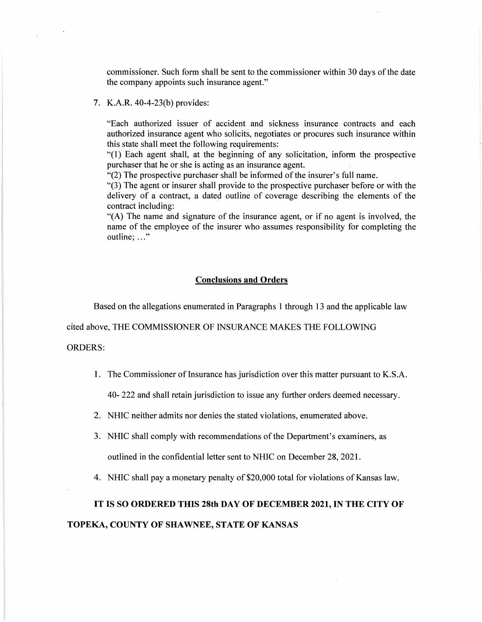commissioner. Such form shall be sent to the commissioner within 30 days of the date the company appoints such insurance agent."

## 7. **K.A.R.** 40-4-23(b) provides:

"Each authorized issuer of accident and sickness insurance contracts and each authorized insurance agent who solicits, negotiates or procures such insurance within this state shall meet the following requirements:

"(1) Each agent shall, at the beginning of any solicitation, inform the prospective purchaser that he or she is acting as an insurance agent.

 $\cdot$  (2) The prospective purchaser shall be informed of the insurer's full name.

"(3) The agent or insurer shall provide to the prospective purchaser before or with the delivery of a contract, a dated outline of coverage describing the elements of the contract including:

"(A) The name and signature of the insurance agent, or if no agent is involved, the name of the employee of the insurer who assumes responsibility for completing the outline: ..."

#### **Conclusions and Orders**

Based on the allegations enumerated in Paragraphs 1 through 13 and the applicable law

cited above, THE COMMISSIONER OF INSURANCE MAKES THE FOLLOWING

ORDERS:

1. The Commissioner of Insurance has jurisdiction over this matter pursuant to K.S.A.

40- 222 and shall retain jurisdiction to issue any further orders deemed necessary.

- 2. NHIC neither admits nor denies the stated violations, enumerated above.
- 3. NHIC shall comply with recommendations of the Department's examiners, as outlined in the confidential letter sent to NHIC on December 28, 2021.
- 4. NHIC shall pay a monetary penalty of \$20,000 total for violations of Kansas law.

# **IT IS SO ORDERED THIS 28th DAY OF DECEMBER 2021, IN THE CITY OF TOPEKA, COUNTY OF SHAWNEE, STATE OF KANSAS**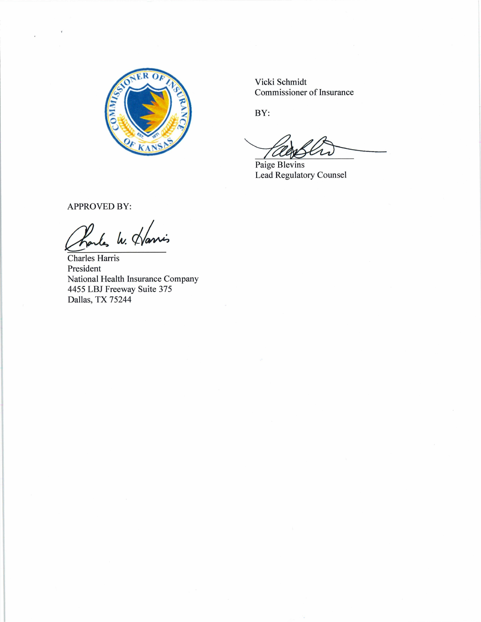

Vicki Schmidt Commissioner of Insurance

BY:

BY:<br>BY:<br>Paige Blevins<br>Lead Regulatory Counsel

Paige Blevins Lead Regulatory Counsel

APPROVED BY:

Proules W. Harris

Charles Harris President National Health Insurance Company 4455 LBJ Freeway Suite 375 Dallas, TX 75244